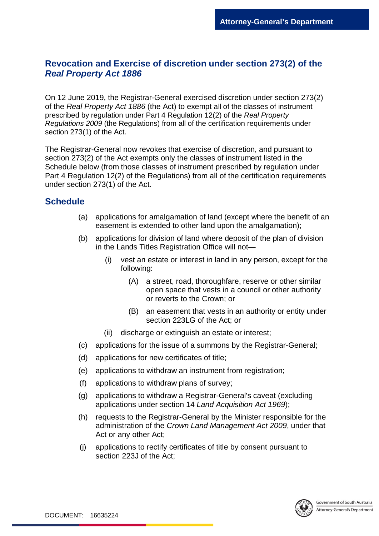## **Revocation and Exercise of discretion under section 273(2) of the**  *Real Property Act 1886*

On 12 June 2019, the Registrar-General exercised discretion under section 273(2) of the *Real Property Act 1886* (the Act) to exempt all of the classes of instrument prescribed by regulation under Part 4 Regulation 12(2) of the *Real Property Regulations 2009* (the Regulations) from all of the certification requirements under section 273(1) of the Act.

The Registrar-General now revokes that exercise of discretion, and pursuant to section 273(2) of the Act exempts only the classes of instrument listed in the Schedule below (from those classes of instrument prescribed by regulation under Part 4 Regulation 12(2) of the Regulations) from all of the certification requirements under section 273(1) of the Act.

## **Schedule**

- (a) applications for amalgamation of land (except where the benefit of an easement is extended to other land upon the amalgamation);
- (b) applications for division of land where deposit of the plan of division in the Lands Titles Registration Office will not—
	- (i) vest an estate or interest in land in any person, except for the following:
		- (A) a street, road, thoroughfare, reserve or other similar open space that vests in a council or other authority or reverts to the Crown; or
		- (B) an easement that vests in an authority or entity under section 223LG of the Act; or
	- (ii) discharge or extinguish an estate or interest:
- (c) applications for the issue of a summons by the Registrar-General;
- (d) applications for new certificates of title;
- (e) applications to withdraw an instrument from registration;
- (f) applications to withdraw plans of survey;
- (g) applications to withdraw a Registrar-General's caveat (excluding applications under section 14 *Land Acquisition Act 1969*);
- (h) requests to the Registrar-General by the Minister responsible for the administration of the *[Crown Land Management Act](http://www.legislation.sa.gov.au/index.aspx?action=legref&type=act&legtitle=Crown%20Land%20Management%20Act%202009) 2009*, under that Act or any other Act;
- (j) applications to rectify certificates of title by consent pursuant to section 223J of the Act;